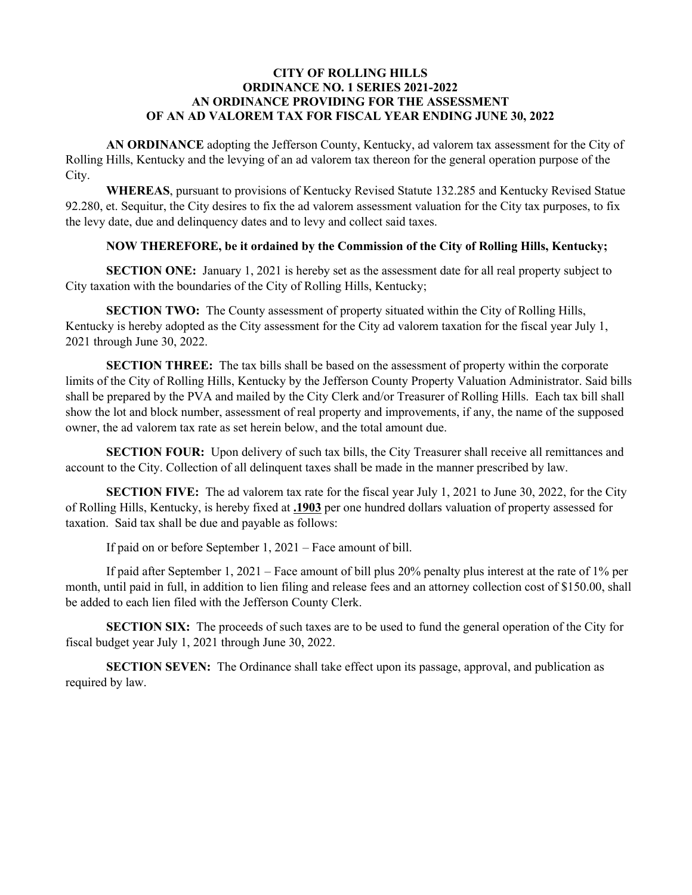## **CITY OF ROLLING HILLS ORDINANCE NO. 1 SERIES 2021-2022 AN ORDINANCE PROVIDING FOR THE ASSESSMENT OF AN AD VALOREM TAX FOR FISCAL YEAR ENDING JUNE 30, 2022**

**AN ORDINANCE** adopting the Jefferson County, Kentucky, ad valorem tax assessment for the City of Rolling Hills, Kentucky and the levying of an ad valorem tax thereon for the general operation purpose of the City.

**WHEREAS**, pursuant to provisions of Kentucky Revised Statute 132.285 and Kentucky Revised Statue 92.280, et. Sequitur, the City desires to fix the ad valorem assessment valuation for the City tax purposes, to fix the levy date, due and delinquency dates and to levy and collect said taxes.

## **NOW THEREFORE, be it ordained by the Commission of the City of Rolling Hills, Kentucky;**

**SECTION ONE:** January 1, 2021 is hereby set as the assessment date for all real property subject to City taxation with the boundaries of the City of Rolling Hills, Kentucky;

**SECTION TWO:** The County assessment of property situated within the City of Rolling Hills, Kentucky is hereby adopted as the City assessment for the City ad valorem taxation for the fiscal year July 1, 2021 through June 30, 2022.

**SECTION THREE:** The tax bills shall be based on the assessment of property within the corporate limits of the City of Rolling Hills, Kentucky by the Jefferson County Property Valuation Administrator. Said bills shall be prepared by the PVA and mailed by the City Clerk and/or Treasurer of Rolling Hills. Each tax bill shall show the lot and block number, assessment of real property and improvements, if any, the name of the supposed owner, the ad valorem tax rate as set herein below, and the total amount due.

**SECTION FOUR:** Upon delivery of such tax bills, the City Treasurer shall receive all remittances and account to the City. Collection of all delinquent taxes shall be made in the manner prescribed by law.

**SECTION FIVE:** The ad valorem tax rate for the fiscal year July 1, 2021 to June 30, 2022, for the City of Rolling Hills, Kentucky, is hereby fixed at **.1903** per one hundred dollars valuation of property assessed for taxation. Said tax shall be due and payable as follows:

If paid on or before September 1, 2021 – Face amount of bill.

If paid after September 1, 2021 – Face amount of bill plus 20% penalty plus interest at the rate of 1% per month, until paid in full, in addition to lien filing and release fees and an attorney collection cost of \$150.00, shall be added to each lien filed with the Jefferson County Clerk.

**SECTION SIX:** The proceeds of such taxes are to be used to fund the general operation of the City for fiscal budget year July 1, 2021 through June 30, 2022.

**SECTION SEVEN:** The Ordinance shall take effect upon its passage, approval, and publication as required by law.